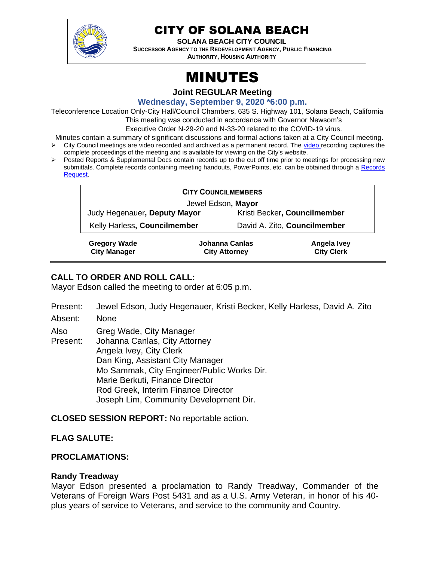

# CITY OF SOLANA BEACH

**SOLANA BEACH CITY COUNCIL**

**SUCCESSOR AGENCY TO THE REDEVELOPMENT AGENCY, PUBLIC FINANCING AUTHORITY, HOUSING AUTHORITY** 

# MINUTES

**Joint REGULAR Meeting**

**Wednesday, September 9, 2020 \*6:00 p.m.**

Teleconference Location Only-City Hall/Council Chambers, 635 S. Highway 101, Solana Beach, California

This meeting was conducted in accordance with Governor Newsom's

Executive Order N-29-20 and N-33-20 related to the COVID-19 virus.

Minutes contain a summary of significant discussions and formal actions taken at a City Council meeting. ➢ City Council meetings are video recorded and archived as a permanent record. The [video r](https://solanabeach.12milesout.com/#page=1)ecording captures the complete proceedings of the meeting and is available for viewing on the City's website.

➢ Posted Reports & Supplemental Docs contain records up to the cut off time prior to meetings for processing new submittals. Complete records containing meeting handouts, PowerPoints, etc. can be obtained through a [Records](http://www.ci.solana-beach.ca.us/index.asp?SEC=F5D45D10-70CE-4291-A27C-7BD633FC6742&Type=B_BASIC)  [Request.](http://www.ci.solana-beach.ca.us/index.asp?SEC=F5D45D10-70CE-4291-A27C-7BD633FC6742&Type=B_BASIC)

| <b>CITY COUNCILMEMBERS</b>                 |  |                                        |                                  |
|--------------------------------------------|--|----------------------------------------|----------------------------------|
| Jewel Edson, Mayor                         |  |                                        |                                  |
| Judy Hegenauer, Deputy Mayor               |  | Kristi Becker, Councilmember           |                                  |
| Kelly Harless, Councilmember               |  | David A. Zito, Councilmember           |                                  |
| <b>Gregory Wade</b><br><b>City Manager</b> |  | Johanna Canlas<br><b>City Attorney</b> | Angela Ivey<br><b>City Clerk</b> |

# **CALL TO ORDER AND ROLL CALL:**

Mayor Edson called the meeting to order at 6:05 p.m.

- Present: Jewel Edson, Judy Hegenauer, Kristi Becker, Kelly Harless, David A. Zito
- Absent: None

Also Greg Wade, City Manager

Present: Johanna Canlas, City Attorney Angela Ivey, City Clerk Dan King, Assistant City Manager Mo Sammak, City Engineer/Public Works Dir. Marie Berkuti, Finance Director Rod Greek, Interim Finance Director Joseph Lim, Community Development Dir.

**CLOSED SESSION REPORT:** No reportable action.

# **FLAG SALUTE:**

# **PROCLAMATIONS:**

#### **Randy Treadway**

Mayor Edson presented a proclamation to Randy Treadway, Commander of the Veterans of Foreign Wars Post 5431 and as a U.S. Army Veteran, in honor of his 40 plus years of service to Veterans, and service to the community and Country.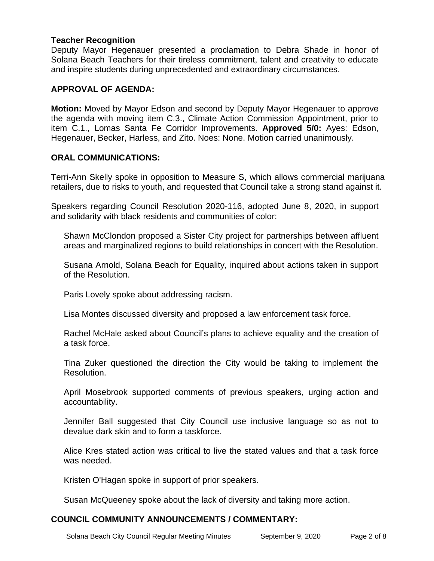#### **Teacher Recognition**

Deputy Mayor Hegenauer presented a proclamation to Debra Shade in honor of Solana Beach Teachers for their tireless commitment, talent and creativity to educate and inspire students during unprecedented and extraordinary circumstances.

#### **APPROVAL OF AGENDA:**

**Motion:** Moved by Mayor Edson and second by Deputy Mayor Hegenauer to approve the agenda with moving item C.3., Climate Action Commission Appointment, prior to item C.1., Lomas Santa Fe Corridor Improvements. **Approved 5/0:** Ayes: Edson, Hegenauer, Becker, Harless, and Zito. Noes: None. Motion carried unanimously.

#### **ORAL COMMUNICATIONS:**

Terri-Ann Skelly spoke in opposition to Measure S, which allows commercial marijuana retailers, due to risks to youth, and requested that Council take a strong stand against it.

Speakers regarding Council Resolution 2020-116, adopted June 8, 2020, in support and solidarity with black residents and communities of color:

Shawn McClondon proposed a Sister City project for partnerships between affluent areas and marginalized regions to build relationships in concert with the Resolution.

Susana Arnold, Solana Beach for Equality, inquired about actions taken in support of the Resolution.

Paris Lovely spoke about addressing racism.

Lisa Montes discussed diversity and proposed a law enforcement task force.

Rachel McHale asked about Council's plans to achieve equality and the creation of a task force.

Tina Zuker questioned the direction the City would be taking to implement the Resolution.

April Mosebrook supported comments of previous speakers, urging action and accountability.

Jennifer Ball suggested that City Council use inclusive language so as not to devalue dark skin and to form a taskforce.

Alice Kres stated action was critical to live the stated values and that a task force was needed.

Kristen O'Hagan spoke in support of prior speakers.

Susan McQueeney spoke about the lack of diversity and taking more action.

#### **COUNCIL COMMUNITY ANNOUNCEMENTS / COMMENTARY:**

Solana Beach City Council Regular Meeting Minutes September 9, 2020 Page 2 of 8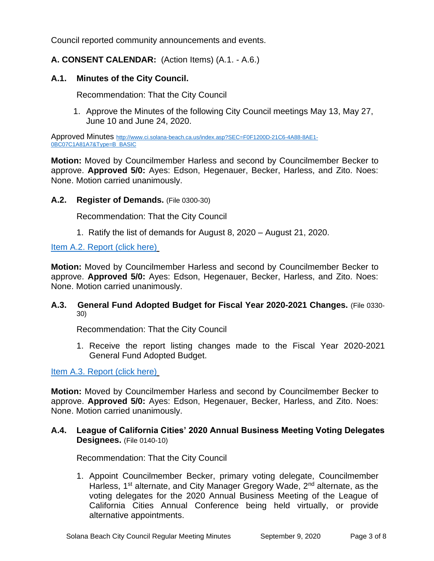Council reported community announcements and events.

### **A. CONSENT CALENDAR:** (Action Items) (A.1. - A.6.)

#### **A.1. Minutes of the City Council.**

Recommendation: That the City Council

1. Approve the Minutes of the following City Council meetings May 13, May 27, June 10 and June 24, 2020.

Approved Minutes [http://www.ci.solana-beach.ca.us/index.asp?SEC=F0F1200D-21C6-4A88-8AE1-](http://www.ci.solana-beach.ca.us/index.asp?SEC=F0F1200D-21C6-4A88-8AE1-0BC07C1A81A7&Type=B_BASIC) [0BC07C1A81A7&Type=B\\_BASIC](http://www.ci.solana-beach.ca.us/index.asp?SEC=F0F1200D-21C6-4A88-8AE1-0BC07C1A81A7&Type=B_BASIC)

**Motion:** Moved by Councilmember Harless and second by Councilmember Becker to approve. **Approved 5/0:** Ayes: Edson, Hegenauer, Becker, Harless, and Zito. Noes: None. Motion carried unanimously.

#### **A.2. Register of Demands.** (File 0300-30)

Recommendation: That the City Council

1. Ratify the list of demands for August 8, 2020 – August 21, 2020.

[Item A.2. Report \(click here\)](https://solanabeach.govoffice3.com/vertical/Sites/%7B840804C2-F869-4904-9AE3-720581350CE7%7D/uploads/Item_A.2._Report_(click_here)_09-09-20-O.pdf)

**Motion:** Moved by Councilmember Harless and second by Councilmember Becker to approve. **Approved 5/0:** Ayes: Edson, Hegenauer, Becker, Harless, and Zito. Noes: None. Motion carried unanimously.

#### **A.3. General Fund Adopted Budget for Fiscal Year 2020-2021 Changes.** (File 0330- 30)

Recommendation: That the City Council

1. Receive the report listing changes made to the Fiscal Year 2020-2021 General Fund Adopted Budget.

[Item A.3. Report \(click here\)](https://solanabeach.govoffice3.com/vertical/Sites/%7B840804C2-F869-4904-9AE3-720581350CE7%7D/uploads/Item_A.3._Report_(click_here)_09-09-20-O.pdf)

**Motion:** Moved by Councilmember Harless and second by Councilmember Becker to approve. **Approved 5/0:** Ayes: Edson, Hegenauer, Becker, Harless, and Zito. Noes: None. Motion carried unanimously.

#### **A.4. League of California Cities' 2020 Annual Business Meeting Voting Delegates Designees.** (File 0140-10)

Recommendation: That the City Council

1. Appoint Councilmember Becker, primary voting delegate, Councilmember Harless, 1<sup>st</sup> alternate, and City Manager Gregory Wade, 2<sup>nd</sup> alternate, as the voting delegates for the 2020 Annual Business Meeting of the League of California Cities Annual Conference being held virtually, or provide alternative appointments.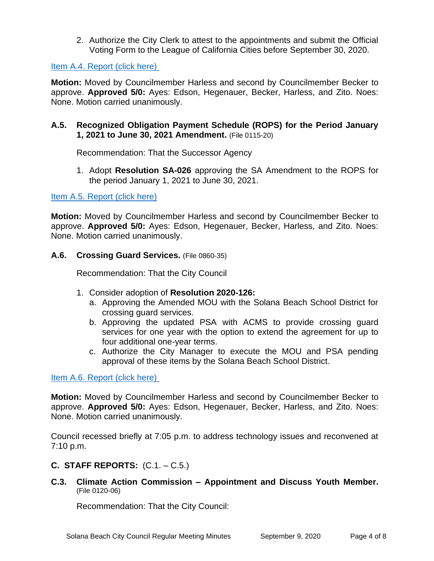2. Authorize the City Clerk to attest to the appointments and submit the Official Voting Form to the League of California Cities before September 30, 2020.

#### [Item A.4. Report \(click here\)](https://solanabeach.govoffice3.com/vertical/Sites/%7B840804C2-F869-4904-9AE3-720581350CE7%7D/uploads/Item_A.4._Report_(click_here)_09-09-20-O.pdf)

**Motion:** Moved by Councilmember Harless and second by Councilmember Becker to approve. **Approved 5/0:** Ayes: Edson, Hegenauer, Becker, Harless, and Zito. Noes: None. Motion carried unanimously.

#### **A.5. Recognized Obligation Payment Schedule (ROPS) for the Period January 1, 2021 to June 30, 2021 Amendment.** (File 0115-20)

Recommendation: That the Successor Agency

1. Adopt **Resolution SA-026** approving the SA Amendment to the ROPS for the period January 1, 2021 to June 30, 2021.

#### [Item A.5. Report](https://solanabeach.govoffice3.com/vertical/Sites/%7B840804C2-F869-4904-9AE3-720581350CE7%7D/uploads/Item_A.5._Report_(click_here)_09-09-20_-_O.pdf) (click here)

**Motion:** Moved by Councilmember Harless and second by Councilmember Becker to approve. **Approved 5/0:** Ayes: Edson, Hegenauer, Becker, Harless, and Zito. Noes: None. Motion carried unanimously.

#### **A.6. Crossing Guard Services.** (File 0860-35)

Recommendation: That the City Council

- 1. Consider adoption of **Resolution 2020-126:** 
	- a. Approving the Amended MOU with the Solana Beach School District for crossing guard services.
	- b. Approving the updated PSA with ACMS to provide crossing guard services for one year with the option to extend the agreement for up to four additional one-year terms.
	- c. Authorize the City Manager to execute the MOU and PSA pending approval of these items by the Solana Beach School District.

[Item A.6. Report \(click here\)](https://solanabeach.govoffice3.com/vertical/Sites/%7B840804C2-F869-4904-9AE3-720581350CE7%7D/uploads/Item_A.6._Report_(click_here)_09-09-20-O.pdf)

**Motion:** Moved by Councilmember Harless and second by Councilmember Becker to approve. **Approved 5/0:** Ayes: Edson, Hegenauer, Becker, Harless, and Zito. Noes: None. Motion carried unanimously.

Council recessed briefly at 7:05 p.m. to address technology issues and reconvened at 7:10 p.m.

# **C. STAFF REPORTS:** (C.1. – C.5.)

**C.3. Climate Action Commission – Appointment and Discuss Youth Member.**  (File 0120-06)

Recommendation: That the City Council: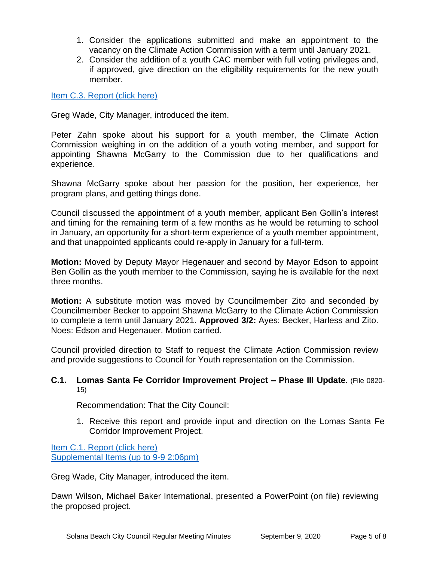- 1. Consider the applications submitted and make an appointment to the vacancy on the Climate Action Commission with a term until January 2021.
- 2. Consider the addition of a youth CAC member with full voting privileges and, if approved, give direction on the eligibility requirements for the new youth member.

[Item C.3. Report \(click here\)](https://solanabeach.govoffice3.com/vertical/Sites/%7B840804C2-F869-4904-9AE3-720581350CE7%7D/uploads/Item_C.3._Report_(click_here)_09-09-20-O.pdf)

Greg Wade, City Manager, introduced the item.

Peter Zahn spoke about his support for a youth member, the Climate Action Commission weighing in on the addition of a youth voting member, and support for appointing Shawna McGarry to the Commission due to her qualifications and experience.

Shawna McGarry spoke about her passion for the position, her experience, her program plans, and getting things done.

Council discussed the appointment of a youth member, applicant Ben Gollin's interest and timing for the remaining term of a few months as he would be returning to school in January, an opportunity for a short-term experience of a youth member appointment, and that unappointed applicants could re-apply in January for a full-term.

**Motion:** Moved by Deputy Mayor Hegenauer and second by Mayor Edson to appoint Ben Gollin as the youth member to the Commission, saying he is available for the next three months.

**Motion:** A substitute motion was moved by Councilmember Zito and seconded by Councilmember Becker to appoint Shawna McGarry to the Climate Action Commission to complete a term until January 2021. **Approved 3/2:** Ayes: Becker, Harless and Zito. Noes: Edson and Hegenauer. Motion carried.

Council provided direction to Staff to request the Climate Action Commission review and provide suggestions to Council for Youth representation on the Commission.

#### **C.1. Lomas Santa Fe Corridor Improvement Project – Phase III Update**. (File 0820- 15)

Recommendation: That the City Council:

1. Receive this report and provide input and direction on the Lomas Santa Fe Corridor Improvement Project.

[Item C.1. Report \(click here\)](https://solanabeach.govoffice3.com/vertical/Sites/%7B840804C2-F869-4904-9AE3-720581350CE7%7D/uploads/Item_C.1._Report_(click_here)_09-09-20-O.pdf) [Supplemental Items \(up to 9-9 2:06pm\)](https://solanabeach.govoffice3.com/vertical/Sites/%7B840804C2-F869-4904-9AE3-720581350CE7%7D/uploads/Item_C.1._Supplemental_Docs_(Upd_9-9_at_206pm)_-_O.pdf)

Greg Wade, City Manager, introduced the item.

Dawn Wilson, Michael Baker International, presented a PowerPoint (on file) reviewing the proposed project.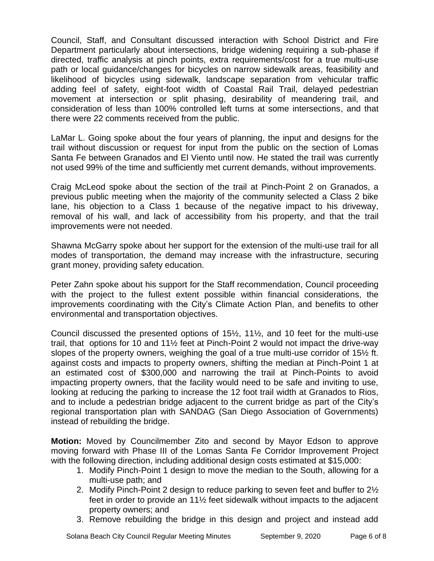Council, Staff, and Consultant discussed interaction with School District and Fire Department particularly about intersections, bridge widening requiring a sub-phase if directed, traffic analysis at pinch points, extra requirements/cost for a true multi-use path or local guidance/changes for bicycles on narrow sidewalk areas, feasibility and likelihood of bicycles using sidewalk, landscape separation from vehicular traffic adding feel of safety, eight-foot width of Coastal Rail Trail, delayed pedestrian movement at intersection or split phasing, desirability of meandering trail, and consideration of less than 100% controlled left turns at some intersections, and that there were 22 comments received from the public.

LaMar L. Going spoke about the four years of planning, the input and designs for the trail without discussion or request for input from the public on the section of Lomas Santa Fe between Granados and El Viento until now. He stated the trail was currently not used 99% of the time and sufficiently met current demands, without improvements.

Craig McLeod spoke about the section of the trail at Pinch-Point 2 on Granados, a previous public meeting when the majority of the community selected a Class 2 bike lane, his objection to a Class 1 because of the negative impact to his driveway, removal of his wall, and lack of accessibility from his property, and that the trail improvements were not needed.

Shawna McGarry spoke about her support for the extension of the multi-use trail for all modes of transportation, the demand may increase with the infrastructure, securing grant money, providing safety education.

Peter Zahn spoke about his support for the Staff recommendation, Council proceeding with the project to the fullest extent possible within financial considerations, the improvements coordinating with the City's Climate Action Plan, and benefits to other environmental and transportation objectives.

Council discussed the presented options of 15½, 11½, and 10 feet for the multi-use trail, that options for 10 and 11½ feet at Pinch-Point 2 would not impact the drive-way slopes of the property owners, weighing the goal of a true multi-use corridor of 15½ ft. against costs and impacts to property owners, shifting the median at Pinch-Point 1 at an estimated cost of \$300,000 and narrowing the trail at Pinch-Points to avoid impacting property owners, that the facility would need to be safe and inviting to use, looking at reducing the parking to increase the 12 foot trail width at Granados to Rios, and to include a pedestrian bridge adjacent to the current bridge as part of the City's regional transportation plan with SANDAG (San Diego Association of Governments) instead of rebuilding the bridge.

**Motion:** Moved by Councilmember Zito and second by Mayor Edson to approve moving forward with Phase III of the Lomas Santa Fe Corridor Improvement Project with the following direction, including additional design costs estimated at \$15,000:

- 1. Modify Pinch-Point 1 design to move the median to the South, allowing for a multi-use path; and
- 2. Modify Pinch-Point 2 design to reduce parking to seven feet and buffer to 2½ feet in order to provide an 11½ feet sidewalk without impacts to the adjacent property owners; and
- 3. Remove rebuilding the bridge in this design and project and instead add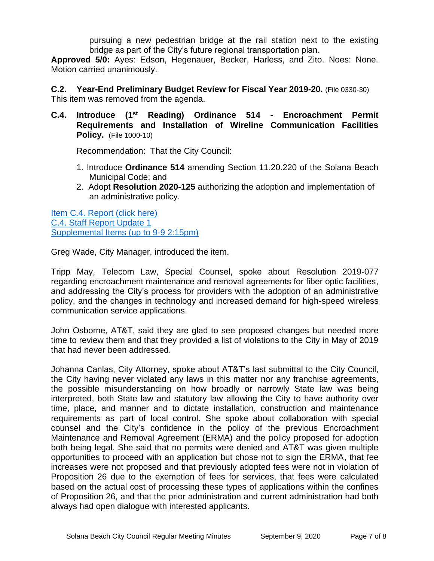pursuing a new pedestrian bridge at the rail station next to the existing bridge as part of the City's future regional transportation plan.

**Approved 5/0:** Ayes: Edson, Hegenauer, Becker, Harless, and Zito. Noes: None. Motion carried unanimously.

**C.2. Year-End Preliminary Budget Review for Fiscal Year 2019-20.** (File 0330-30) This item was removed from the agenda.

**C.4. Introduce (1st Reading) Ordinance 514 - Encroachment Permit Requirements and Installation of Wireline Communication Facilities Policy.** (File 1000-10)

Recommendation: That the City Council:

- 1. Introduce **Ordinance 514** amending Section 11.20.220 of the Solana Beach Municipal Code; and
- 2. Adopt **Resolution 2020-125** authorizing the adoption and implementation of an administrative policy.

[Item C.4. Report \(click here\)](https://solanabeach.govoffice3.com/vertical/Sites/%7B840804C2-F869-4904-9AE3-720581350CE7%7D/uploads/Item_C.4._Report_(click_here)_09-09-20-O.pdf) [C.4. Staff Report Update 1](https://solanabeach.govoffice3.com/vertical/Sites/%7B840804C2-F869-4904-9AE3-720581350CE7%7D/uploads/C.4._Staff_Report_Update_1_09-090-20.pdf) Supplemental [Items \(up to 9-9 2:15pm\)](https://solanabeach.govoffice3.com/vertical/Sites/%7B840804C2-F869-4904-9AE3-720581350CE7%7D/uploads/Item_C.4._Supplemental_Docs_(Upd_9-9_at_105pm)_-_O.pdf)

Greg Wade, City Manager, introduced the item.

Tripp May, Telecom Law, Special Counsel, spoke about Resolution 2019-077 regarding encroachment maintenance and removal agreements for fiber optic facilities, and addressing the City's process for providers with the adoption of an administrative policy, and the changes in technology and increased demand for high-speed wireless communication service applications.

John Osborne, AT&T, said they are glad to see proposed changes but needed more time to review them and that they provided a list of violations to the City in May of 2019 that had never been addressed.

Johanna Canlas, City Attorney, spoke about AT&T's last submittal to the City Council, the City having never violated any laws in this matter nor any franchise agreements, the possible misunderstanding on how broadly or narrowly State law was being interpreted, both State law and statutory law allowing the City to have authority over time, place, and manner and to dictate installation, construction and maintenance requirements as part of local control. She spoke about collaboration with special counsel and the City's confidence in the policy of the previous Encroachment Maintenance and Removal Agreement (ERMA) and the policy proposed for adoption both being legal. She said that no permits were denied and AT&T was given multiple opportunities to proceed with an application but chose not to sign the ERMA, that fee increases were not proposed and that previously adopted fees were not in violation of Proposition 26 due to the exemption of fees for services, that fees were calculated based on the actual cost of processing these types of applications within the confines of Proposition 26, and that the prior administration and current administration had both always had open dialogue with interested applicants.